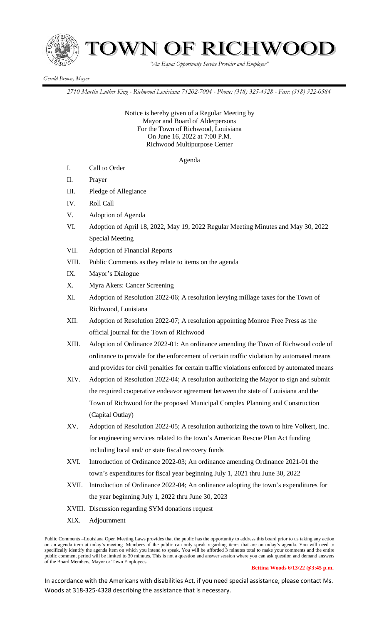

 *"An Equal Opportunity Service Provider and Employer"*

## *Gerald Brown, Mayor*

*2710 Martin Luther King - Richwood Louisiana 71202-7004 - Phone: (318) 325-4328 - Fax: (318) 322-0584*

Notice is hereby given of a Regular Meeting by Mayor and Board of Alderpersons For the Town of Richwood, Louisiana On June 16, 2022 at 7:00 P.M. Richwood Multipurpose Center

Agenda

- I. Call to Order
- II. Prayer
- III. Pledge of Allegiance
- IV. Roll Call
- V. Adoption of Agenda
- VI. Adoption of April 18, 2022, May 19, 2022 Regular Meeting Minutes and May 30, 2022 Special Meeting
- VII. Adoption of Financial Reports
- VIII. Public Comments as they relate to items on the agenda
- IX. Mayor's Dialogue
- X. Myra Akers: Cancer Screening
- XI. Adoption of Resolution 2022-06; A resolution levying millage taxes for the Town of Richwood, Louisiana
- XII. Adoption of Resolution 2022-07; A resolution appointing Monroe Free Press as the official journal for the Town of Richwood
- XIII. Adoption of Ordinance 2022-01: An ordinance amending the Town of Richwood code of ordinance to provide for the enforcement of certain traffic violation by automated means and provides for civil penalties for certain traffic violations enforced by automated means
- XIV. Adoption of Resolution 2022-04; A resolution authorizing the Mayor to sign and submit the required cooperative endeavor agreement between the state of Louisiana and the Town of Richwood for the proposed Municipal Complex Planning and Construction (Capital Outlay)
- XV. Adoption of Resolution 2022-05; A resolution authorizing the town to hire Volkert, Inc. for engineering services related to the town's American Rescue Plan Act funding including local and/ or state fiscal recovery funds
- XVI. Introduction of Ordinance 2022-03; An ordinance amending Ordinance 2021-01 the town's expenditures for fiscal year beginning July 1, 2021 thru June 30, 2022
- XVII. Introduction of Ordinance 2022-04; An ordinance adopting the town's expenditures for the year beginning July 1, 2022 thru June 30, 2023
- XVIII. Discussion regarding SYM donations request
- XIX. Adjournment

In accordance with the Americans with disabilities Act, if you need special assistance, please contact Ms. Woods at 318-325-4328 describing the assistance that is necessary.

Public Comments –Louisiana Open Meeting Laws provides that the public has the opportunity to address this board prior to us taking any action on an agenda item at today's meeting. Members of the public can only speak regarding items that are on today's agenda. You will need to specifically identify the agenda item on which you intend to speak. You will be afforded 3 minutes total to make your comments and the entire public comment period will be limited to 30 minutes. This is not a question and answer session where you can ask question and demand answers of the Board Members, Mayor or Town Employees